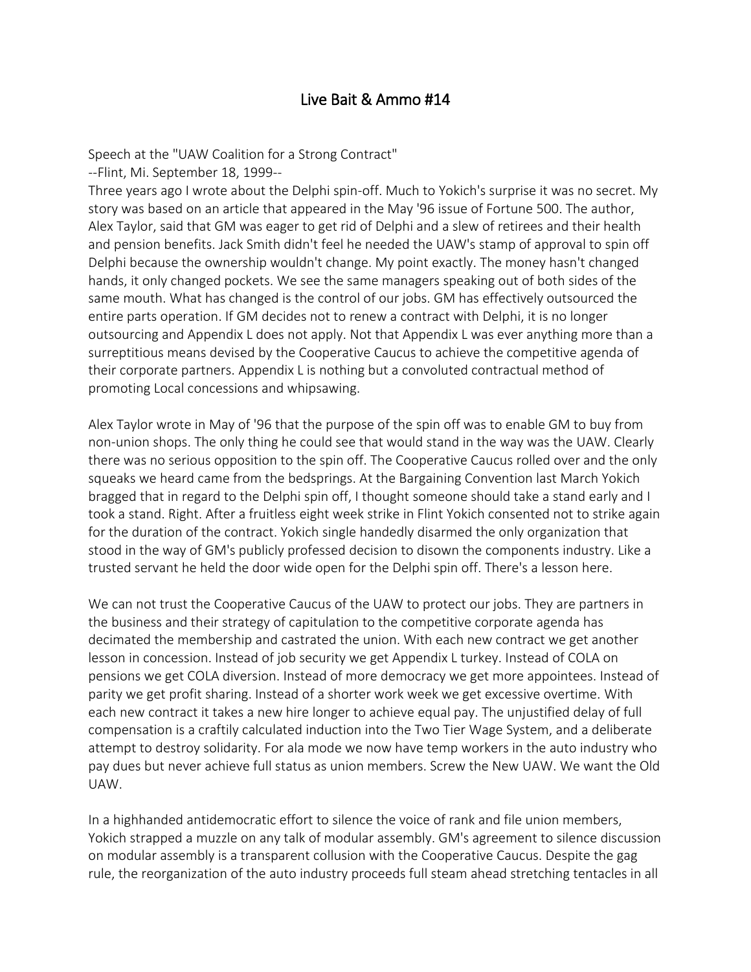## Live Bait & Ammo #14

Speech at the "UAW Coalition for a Strong Contract"

--Flint, Mi. September 18, 1999--

Three years ago I wrote about the Delphi spin-off. Much to Yokich's surprise it was no secret. My story was based on an article that appeared in the May '96 issue of Fortune 500. The author, Alex Taylor, said that GM was eager to get rid of Delphi and a slew of retirees and their health and pension benefits. Jack Smith didn't feel he needed the UAW's stamp of approval to spin off Delphi because the ownership wouldn't change. My point exactly. The money hasn't changed hands, it only changed pockets. We see the same managers speaking out of both sides of the same mouth. What has changed is the control of our jobs. GM has effectively outsourced the entire parts operation. If GM decides not to renew a contract with Delphi, it is no longer outsourcing and Appendix L does not apply. Not that Appendix L was ever anything more than a surreptitious means devised by the Cooperative Caucus to achieve the competitive agenda of their corporate partners. Appendix L is nothing but a convoluted contractual method of promoting Local concessions and whipsawing.

Alex Taylor wrote in May of '96 that the purpose of the spin off was to enable GM to buy from non-union shops. The only thing he could see that would stand in the way was the UAW. Clearly there was no serious opposition to the spin off. The Cooperative Caucus rolled over and the only squeaks we heard came from the bedsprings. At the Bargaining Convention last March Yokich bragged that in regard to the Delphi spin off, I thought someone should take a stand early and I took a stand. Right. After a fruitless eight week strike in Flint Yokich consented not to strike again for the duration of the contract. Yokich single handedly disarmed the only organization that stood in the way of GM's publicly professed decision to disown the components industry. Like a trusted servant he held the door wide open for the Delphi spin off. There's a lesson here.

We can not trust the Cooperative Caucus of the UAW to protect our jobs. They are partners in the business and their strategy of capitulation to the competitive corporate agenda has decimated the membership and castrated the union. With each new contract we get another lesson in concession. Instead of job security we get Appendix L turkey. Instead of COLA on pensions we get COLA diversion. Instead of more democracy we get more appointees. Instead of parity we get profit sharing. Instead of a shorter work week we get excessive overtime. With each new contract it takes a new hire longer to achieve equal pay. The unjustified delay of full compensation is a craftily calculated induction into the Two Tier Wage System, and a deliberate attempt to destroy solidarity. For ala mode we now have temp workers in the auto industry who pay dues but never achieve full status as union members. Screw the New UAW. We want the Old UAW.

In a highhanded antidemocratic effort to silence the voice of rank and file union members, Yokich strapped a muzzle on any talk of modular assembly. GM's agreement to silence discussion on modular assembly is a transparent collusion with the Cooperative Caucus. Despite the gag rule, the reorganization of the auto industry proceeds full steam ahead stretching tentacles in all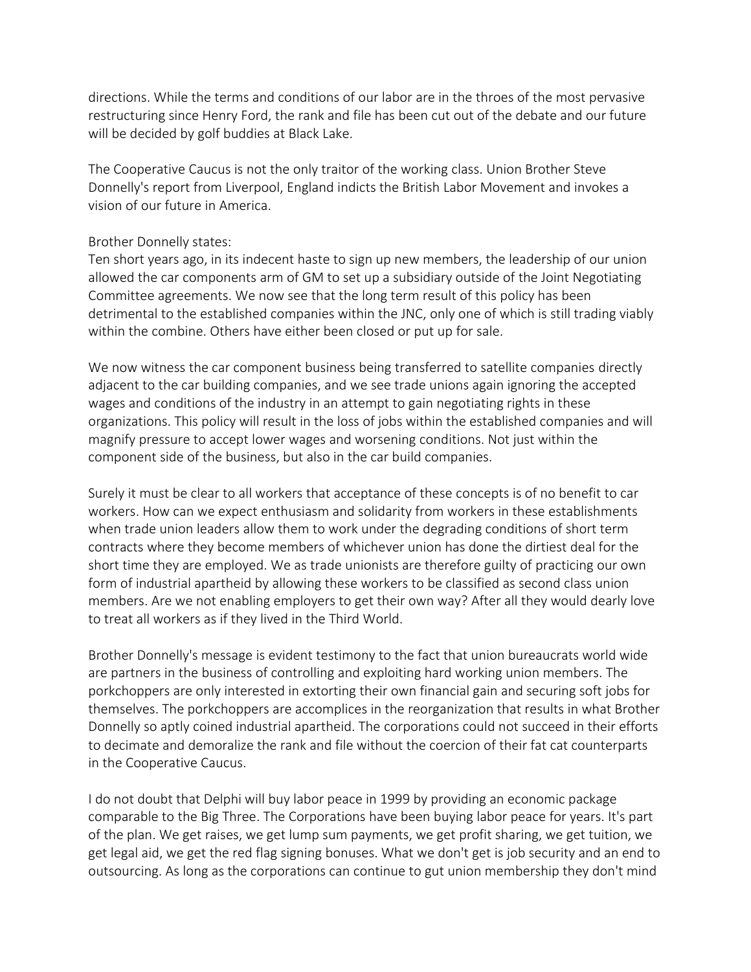directions. While the terms and conditions of our labor are in the throes of the most pervasive restructuring since Henry Ford, the rank and file has been cut out of the debate and our future will be decided by golf buddies at Black Lake.

The Cooperative Caucus is not the only traitor of the working class. Union Brother Steve Donnelly's report from Liverpool, England indicts the British Labor Movement and invokes a vision of our future in America.

## Brother Donnelly states:

Ten short years ago, in its indecent haste to sign up new members, the leadership of our union allowed the car components arm of GM to set up a subsidiary outside of the Joint Negotiating Committee agreements. We now see that the long term result of this policy has been detrimental to the established companies within the JNC, only one of which is still trading viably within the combine. Others have either been closed or put up for sale.

We now witness the car component business being transferred to satellite companies directly adjacent to the car building companies, and we see trade unions again ignoring the accepted wages and conditions of the industry in an attempt to gain negotiating rights in these organizations. This policy will result in the loss of jobs within the established companies and will magnify pressure to accept lower wages and worsening conditions. Not just within the component side of the business, but also in the car build companies.

Surely it must be clear to all workers that acceptance of these concepts is of no benefit to car workers. How can we expect enthusiasm and solidarity from workers in these establishments when trade union leaders allow them to work under the degrading conditions of short term contracts where they become members of whichever union has done the dirtiest deal for the short time they are employed. We as trade unionists are therefore guilty of practicing our own form of industrial apartheid by allowing these workers to be classified as second class union members. Are we not enabling employers to get their own way? After all they would dearly love to treat all workers as if they lived in the Third World.

Brother Donnelly's message is evident testimony to the fact that union bureaucrats world wide are partners in the business of controlling and exploiting hard working union members. The porkchoppers are only interested in extorting their own financial gain and securing soft jobs for themselves. The porkchoppers are accomplices in the reorganization that results in what Brother Donnelly so aptly coined industrial apartheid. The corporations could not succeed in their efforts to decimate and demoralize the rank and file without the coercion of their fat cat counterparts in the Cooperative Caucus.

I do not doubt that Delphi will buy labor peace in 1999 by providing an economic package comparable to the Big Three. The Corporations have been buying labor peace for years. It's part of the plan. We get raises, we get lump sum payments, we get profit sharing, we get tuition, we get legal aid, we get the red flag signing bonuses. What we don't get is job security and an end to outsourcing. As long as the corporations can continue to gut union membership they don't mind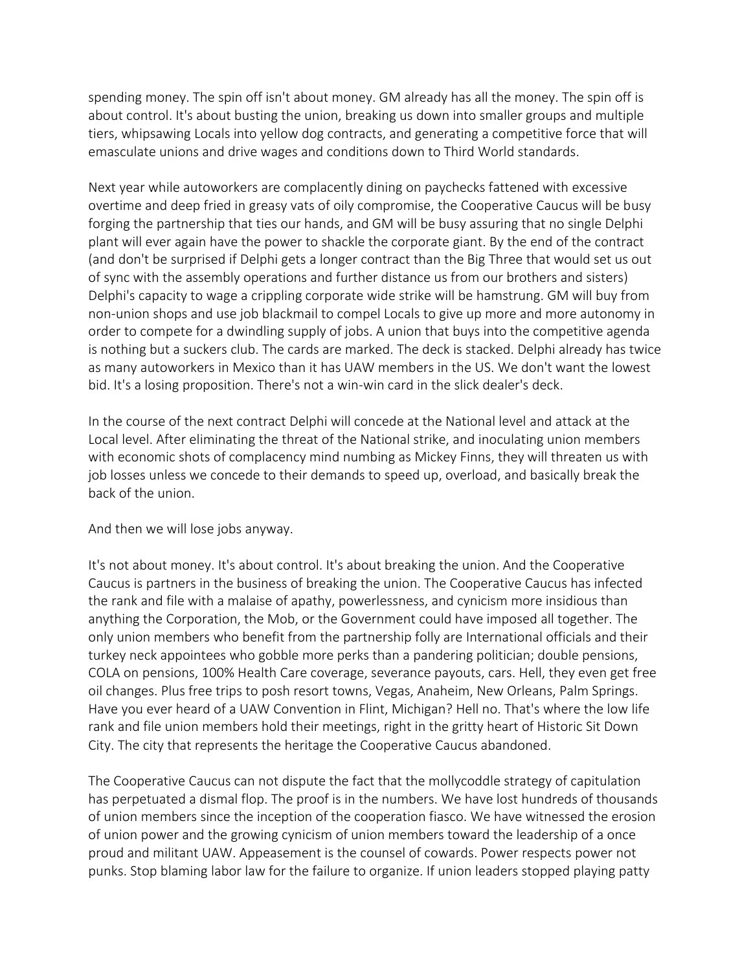spending money. The spin off isn't about money. GM already has all the money. The spin off is about control. It's about busting the union, breaking us down into smaller groups and multiple tiers, whipsawing Locals into yellow dog contracts, and generating a competitive force that will emasculate unions and drive wages and conditions down to Third World standards.

Next year while autoworkers are complacently dining on paychecks fattened with excessive overtime and deep fried in greasy vats of oily compromise, the Cooperative Caucus will be busy forging the partnership that ties our hands, and GM will be busy assuring that no single Delphi plant will ever again have the power to shackle the corporate giant. By the end of the contract (and don't be surprised if Delphi gets a longer contract than the Big Three that would set us out of sync with the assembly operations and further distance us from our brothers and sisters) Delphi's capacity to wage a crippling corporate wide strike will be hamstrung. GM will buy from non-union shops and use job blackmail to compel Locals to give up more and more autonomy in order to compete for a dwindling supply of jobs. A union that buys into the competitive agenda is nothing but a suckers club. The cards are marked. The deck is stacked. Delphi already has twice as many autoworkers in Mexico than it has UAW members in the US. We don't want the lowest bid. It's a losing proposition. There's not a win-win card in the slick dealer's deck.

In the course of the next contract Delphi will concede at the National level and attack at the Local level. After eliminating the threat of the National strike, and inoculating union members with economic shots of complacency mind numbing as Mickey Finns, they will threaten us with job losses unless we concede to their demands to speed up, overload, and basically break the back of the union.

And then we will lose jobs anyway.

It's not about money. It's about control. It's about breaking the union. And the Cooperative Caucus is partners in the business of breaking the union. The Cooperative Caucus has infected the rank and file with a malaise of apathy, powerlessness, and cynicism more insidious than anything the Corporation, the Mob, or the Government could have imposed all together. The only union members who benefit from the partnership folly are International officials and their turkey neck appointees who gobble more perks than a pandering politician; double pensions, COLA on pensions, 100% Health Care coverage, severance payouts, cars. Hell, they even get free oil changes. Plus free trips to posh resort towns, Vegas, Anaheim, New Orleans, Palm Springs. Have you ever heard of a UAW Convention in Flint, Michigan? Hell no. That's where the low life rank and file union members hold their meetings, right in the gritty heart of Historic Sit Down City. The city that represents the heritage the Cooperative Caucus abandoned.

The Cooperative Caucus can not dispute the fact that the mollycoddle strategy of capitulation has perpetuated a dismal flop. The proof is in the numbers. We have lost hundreds of thousands of union members since the inception of the cooperation fiasco. We have witnessed the erosion of union power and the growing cynicism of union members toward the leadership of a once proud and militant UAW. Appeasement is the counsel of cowards. Power respects power not punks. Stop blaming labor law for the failure to organize. If union leaders stopped playing patty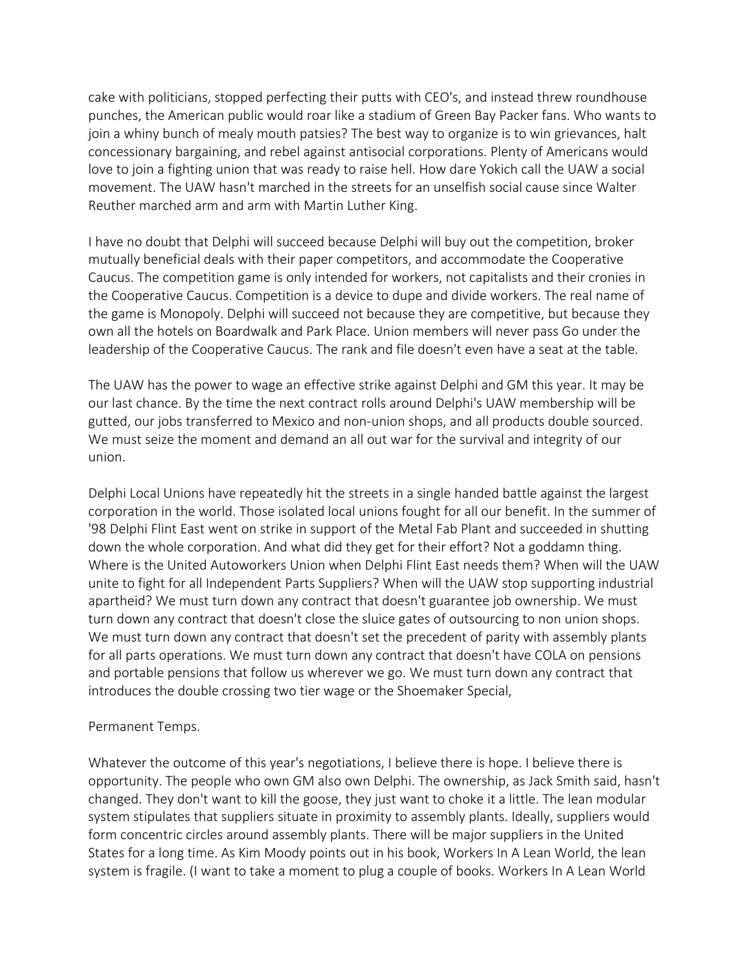cake with politicians, stopped perfecting their putts with CEO's, and instead threw roundhouse punches, the American public would roar like a stadium of Green Bay Packer fans. Who wants to join a whiny bunch of mealy mouth patsies? The best way to organize is to win grievances, halt concessionary bargaining, and rebel against antisocial corporations. Plenty of Americans would love to join a fighting union that was ready to raise hell. How dare Yokich call the UAW a social movement. The UAW hasn't marched in the streets for an unselfish social cause since Walter Reuther marched arm and arm with Martin Luther King.

I have no doubt that Delphi will succeed because Delphi will buy out the competition, broker mutually beneficial deals with their paper competitors, and accommodate the Cooperative Caucus. The competition game is only intended for workers, not capitalists and their cronies in the Cooperative Caucus. Competition is a device to dupe and divide workers. The real name of the game is Monopoly. Delphi will succeed not because they are competitive, but because they own all the hotels on Boardwalk and Park Place. Union members will never pass Go under the leadership of the Cooperative Caucus. The rank and file doesn't even have a seat at the table.

The UAW has the power to wage an effective strike against Delphi and GM this year. It may be our last chance. By the time the next contract rolls around Delphi's UAW membership will be gutted, our jobs transferred to Mexico and non-union shops, and all products double sourced. We must seize the moment and demand an all out war for the survival and integrity of our union.

Delphi Local Unions have repeatedly hit the streets in a single handed battle against the largest corporation in the world. Those isolated local unions fought for all our benefit. In the summer of '98 Delphi Flint East went on strike in support of the Metal Fab Plant and succeeded in shutting down the whole corporation. And what did they get for their effort? Not a goddamn thing. Where is the United Autoworkers Union when Delphi Flint East needs them? When will the UAW unite to fight for all Independent Parts Suppliers? When will the UAW stop supporting industrial apartheid? We must turn down any contract that doesn't guarantee job ownership. We must turn down any contract that doesn't close the sluice gates of outsourcing to non union shops. We must turn down any contract that doesn't set the precedent of parity with assembly plants for all parts operations. We must turn down any contract that doesn't have COLA on pensions and portable pensions that follow us wherever we go. We must turn down any contract that introduces the double crossing two tier wage or the Shoemaker Special,

## Permanent Temps.

Whatever the outcome of this year's negotiations, I believe there is hope. I believe there is opportunity. The people who own GM also own Delphi. The ownership, as Jack Smith said, hasn't changed. They don't want to kill the goose, they just want to choke it a little. The lean modular system stipulates that suppliers situate in proximity to assembly plants. Ideally, suppliers would form concentric circles around assembly plants. There will be major suppliers in the United States for a long time. As Kim Moody points out in his book, Workers In A Lean World, the lean system is fragile. (I want to take a moment to plug a couple of books. Workers In A Lean World